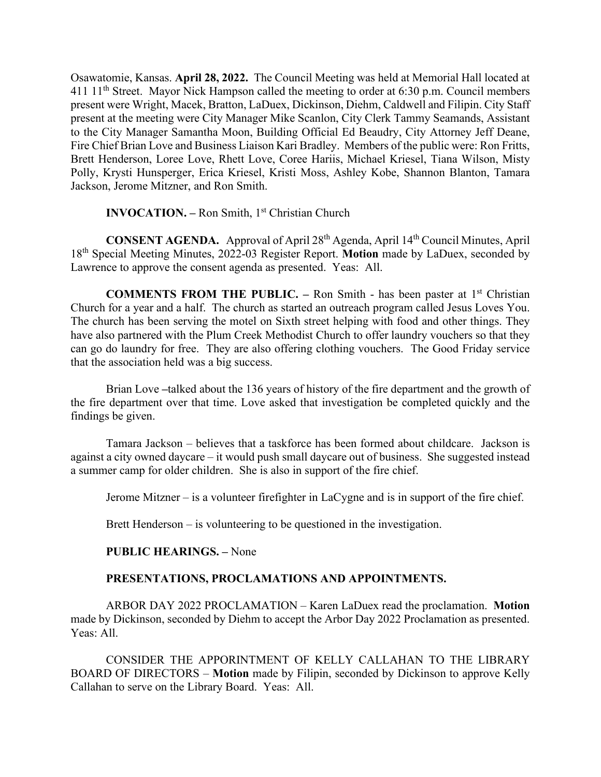Osawatomie, Kansas. **April 28, 2022.** The Council Meeting was held at Memorial Hall located at 411  $11<sup>th</sup>$  Street. Mayor Nick Hampson called the meeting to order at 6:30 p.m. Council members present were Wright, Macek, Bratton, LaDuex, Dickinson, Diehm, Caldwell and Filipin. City Staff present at the meeting were City Manager Mike Scanlon, City Clerk Tammy Seamands, Assistant to the City Manager Samantha Moon, Building Official Ed Beaudry, City Attorney Jeff Deane, Fire Chief Brian Love and Business Liaison Kari Bradley. Members of the public were: Ron Fritts, Brett Henderson, Loree Love, Rhett Love, Coree Hariis, Michael Kriesel, Tiana Wilson, Misty Polly, Krysti Hunsperger, Erica Kriesel, Kristi Moss, Ashley Kobe, Shannon Blanton, Tamara Jackson, Jerome Mitzner, and Ron Smith.

### **INVOCATION. –** Ron Smith, 1<sup>st</sup> Christian Church

**CONSENT AGENDA.** Approval of April 28th Agenda, April 14th Council Minutes, April 18th Special Meeting Minutes, 2022-03 Register Report. **Motion** made by LaDuex, seconded by Lawrence to approve the consent agenda as presented. Yeas: All.

**COMMENTS FROM THE PUBLIC. –** Ron Smith - has been paster at 1<sup>st</sup> Christian Church for a year and a half. The church as started an outreach program called Jesus Loves You. The church has been serving the motel on Sixth street helping with food and other things. They have also partnered with the Plum Creek Methodist Church to offer laundry vouchers so that they can go do laundry for free. They are also offering clothing vouchers. The Good Friday service that the association held was a big success.

Brian Love **–**talked about the 136 years of history of the fire department and the growth of the fire department over that time. Love asked that investigation be completed quickly and the findings be given.

Tamara Jackson – believes that a taskforce has been formed about childcare. Jackson is against a city owned daycare – it would push small daycare out of business. She suggested instead a summer camp for older children. She is also in support of the fire chief.

Jerome Mitzner – is a volunteer firefighter in LaCygne and is in support of the fire chief.

Brett Henderson – is volunteering to be questioned in the investigation.

#### **PUBLIC HEARINGS. –** None

## **PRESENTATIONS, PROCLAMATIONS AND APPOINTMENTS.**

ARBOR DAY 2022 PROCLAMATION – Karen LaDuex read the proclamation. **Motion** made by Dickinson, seconded by Diehm to accept the Arbor Day 2022 Proclamation as presented. Yeas: All.

CONSIDER THE APPORINTMENT OF KELLY CALLAHAN TO THE LIBRARY BOARD OF DIRECTORS – **Motion** made by Filipin, seconded by Dickinson to approve Kelly Callahan to serve on the Library Board. Yeas: All.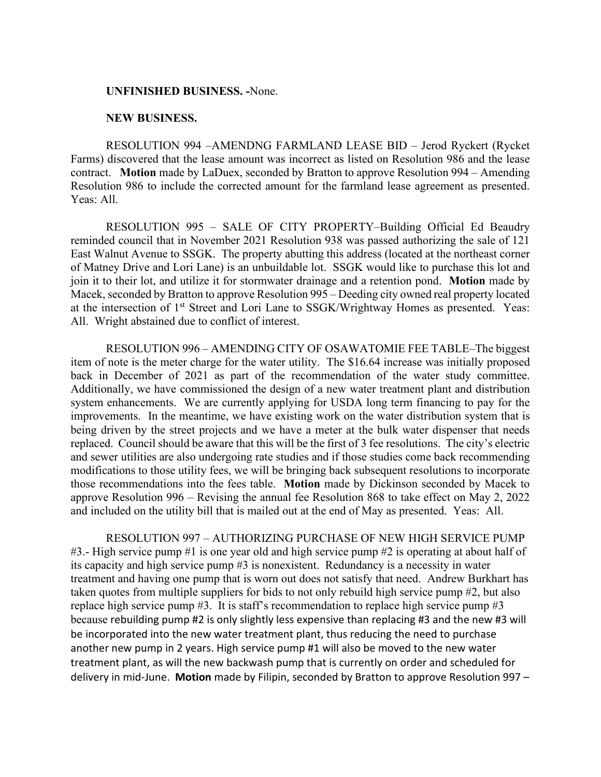### **UNFINISHED BUSINESS. -**None.

### **NEW BUSINESS.**

RESOLUTION 994 –AMENDNG FARMLAND LEASE BID – Jerod Ryckert (Rycket Farms) discovered that the lease amount was incorrect as listed on Resolution 986 and the lease contract. **Motion** made by LaDuex, seconded by Bratton to approve Resolution 994 – Amending Resolution 986 to include the corrected amount for the farmland lease agreement as presented. Yeas: All.

RESOLUTION 995 – SALE OF CITY PROPERTY–Building Official Ed Beaudry reminded council that in November 2021 Resolution 938 was passed authorizing the sale of 121 East Walnut Avenue to SSGK. The property abutting this address (located at the northeast corner of Matney Drive and Lori Lane) is an unbuildable lot. SSGK would like to purchase this lot and join it to their lot, and utilize it for stormwater drainage and a retention pond. **Motion** made by Macek, seconded by Bratton to approve Resolution 995 – Deeding city owned real property located at the intersection of 1st Street and Lori Lane to SSGK/Wrightway Homes as presented. Yeas: All. Wright abstained due to conflict of interest.

RESOLUTION 996 – AMENDING CITY OF OSAWATOMIE FEE TABLE–The biggest item of note is the meter charge for the water utility. The \$16.64 increase was initially proposed back in December of 2021 as part of the recommendation of the water study committee. Additionally, we have commissioned the design of a new water treatment plant and distribution system enhancements. We are currently applying for USDA long term financing to pay for the improvements. In the meantime, we have existing work on the water distribution system that is being driven by the street projects and we have a meter at the bulk water dispenser that needs replaced. Council should be aware that this will be the first of 3 fee resolutions. The city's electric and sewer utilities are also undergoing rate studies and if those studies come back recommending modifications to those utility fees, we will be bringing back subsequent resolutions to incorporate those recommendations into the fees table. **Motion** made by Dickinson seconded by Macek to approve Resolution 996 – Revising the annual fee Resolution 868 to take effect on May 2, 2022 and included on the utility bill that is mailed out at the end of May as presented. Yeas: All.

RESOLUTION 997 – AUTHORIZING PURCHASE OF NEW HIGH SERVICE PUMP #3.- High service pump #1 is one year old and high service pump #2 is operating at about half of its capacity and high service pump #3 is nonexistent. Redundancy is a necessity in water treatment and having one pump that is worn out does not satisfy that need. Andrew Burkhart has taken quotes from multiple suppliers for bids to not only rebuild high service pump #2, but also replace high service pump  $#3$ . It is staff's recommendation to replace high service pump  $#3$ because rebuilding pump #2 is only slightly less expensive than replacing #3 and the new #3 will be incorporated into the new water treatment plant, thus reducing the need to purchase another new pump in 2 years. High service pump #1 will also be moved to the new water treatment plant, as will the new backwash pump that is currently on order and scheduled for delivery in mid-June. **Motion** made by Filipin, seconded by Bratton to approve Resolution 997 –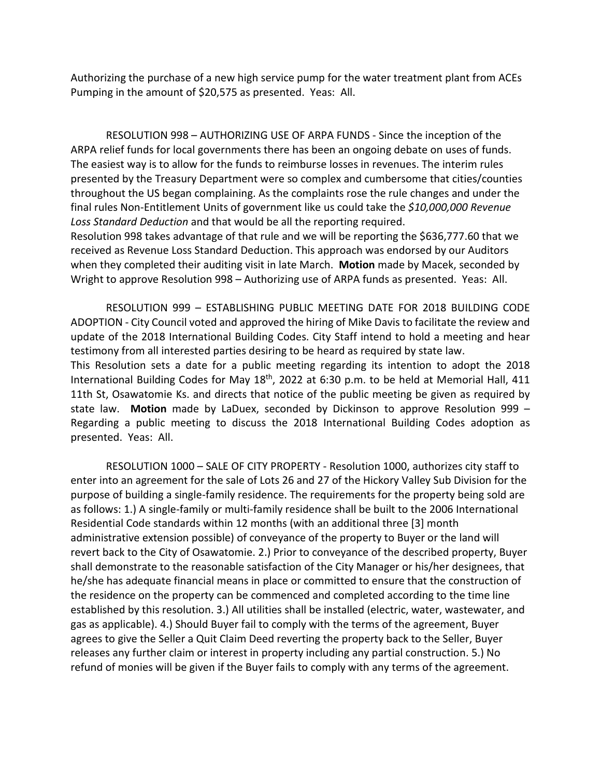Authorizing the purchase of a new high service pump for the water treatment plant from ACEs Pumping in the amount of \$20,575 as presented. Yeas: All.

RESOLUTION 998 – AUTHORIZING USE OF ARPA FUNDS - Since the inception of the ARPA relief funds for local governments there has been an ongoing debate on uses of funds. The easiest way is to allow for the funds to reimburse losses in revenues. The interim rules presented by the Treasury Department were so complex and cumbersome that cities/counties throughout the US began complaining. As the complaints rose the rule changes and under the final rules Non-Entitlement Units of government like us could take the *\$10,000,000 Revenue Loss Standard Deduction* and that would be all the reporting required.

Resolution 998 takes advantage of that rule and we will be reporting the \$636,777.60 that we received as Revenue Loss Standard Deduction. This approach was endorsed by our Auditors when they completed their auditing visit in late March. **Motion** made by Macek, seconded by Wright to approve Resolution 998 – Authorizing use of ARPA funds as presented. Yeas: All.

RESOLUTION 999 – ESTABLISHING PUBLIC MEETING DATE FOR 2018 BUILDING CODE ADOPTION - City Council voted and approved the hiring of Mike Davis to facilitate the review and update of the 2018 International Building Codes. City Staff intend to hold a meeting and hear testimony from all interested parties desiring to be heard as required by state law.

This Resolution sets a date for a public meeting regarding its intention to adopt the 2018 International Building Codes for May 18<sup>th</sup>, 2022 at 6:30 p.m. to be held at Memorial Hall, 411 11th St, Osawatomie Ks. and directs that notice of the public meeting be given as required by state law. **Motion** made by LaDuex, seconded by Dickinson to approve Resolution 999 – Regarding a public meeting to discuss the 2018 International Building Codes adoption as presented. Yeas: All.

RESOLUTION 1000 – SALE OF CITY PROPERTY - Resolution 1000, authorizes city staff to enter into an agreement for the sale of Lots 26 and 27 of the Hickory Valley Sub Division for the purpose of building a single-family residence. The requirements for the property being sold are as follows: 1.) A single-family or multi-family residence shall be built to the 2006 International Residential Code standards within 12 months (with an additional three [3] month administrative extension possible) of conveyance of the property to Buyer or the land will revert back to the City of Osawatomie. 2.) Prior to conveyance of the described property, Buyer shall demonstrate to the reasonable satisfaction of the City Manager or his/her designees, that he/she has adequate financial means in place or committed to ensure that the construction of the residence on the property can be commenced and completed according to the time line established by this resolution. 3.) All utilities shall be installed (electric, water, wastewater, and gas as applicable). 4.) Should Buyer fail to comply with the terms of the agreement, Buyer agrees to give the Seller a Quit Claim Deed reverting the property back to the Seller, Buyer releases any further claim or interest in property including any partial construction. 5.) No refund of monies will be given if the Buyer fails to comply with any terms of the agreement.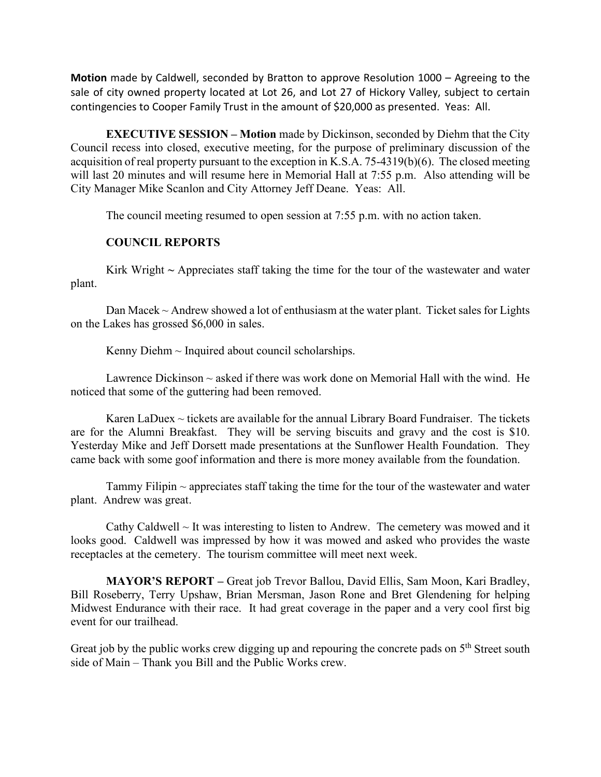**Motion** made by Caldwell, seconded by Bratton to approve Resolution 1000 – Agreeing to the sale of city owned property located at Lot 26, and Lot 27 of Hickory Valley, subject to certain contingencies to Cooper Family Trust in the amount of \$20,000 as presented. Yeas: All.

**EXECUTIVE SESSION – Motion** made by Dickinson, seconded by Diehm that the City Council recess into closed, executive meeting, for the purpose of preliminary discussion of the acquisition of real property pursuant to the exception in K.S.A. 75-4319(b)(6). The closed meeting will last 20 minutes and will resume here in Memorial Hall at 7:55 p.m. Also attending will be City Manager Mike Scanlon and City Attorney Jeff Deane. Yeas: All.

The council meeting resumed to open session at 7:55 p.m. with no action taken.

# **COUNCIL REPORTS**

Kirk Wright **~** Appreciates staff taking the time for the tour of the wastewater and water plant.

Dan Macek  $\sim$  Andrew showed a lot of enthusiasm at the water plant. Ticket sales for Lights on the Lakes has grossed \$6,000 in sales.

Kenny Diehm  $\sim$  Inquired about council scholarships.

Lawrence Dickinson  $\sim$  asked if there was work done on Memorial Hall with the wind. He noticed that some of the guttering had been removed.

Karen LaDuex  $\sim$  tickets are available for the annual Library Board Fundraiser. The tickets are for the Alumni Breakfast. They will be serving biscuits and gravy and the cost is \$10. Yesterday Mike and Jeff Dorsett made presentations at the Sunflower Health Foundation. They came back with some goof information and there is more money available from the foundation.

Tammy Filipin  $\sim$  appreciates staff taking the time for the tour of the wastewater and water plant. Andrew was great.

Cathy Caldwell  $\sim$  It was interesting to listen to Andrew. The cemetery was mowed and it looks good. Caldwell was impressed by how it was mowed and asked who provides the waste receptacles at the cemetery. The tourism committee will meet next week.

**MAYOR'S REPORT –** Great job Trevor Ballou, David Ellis, Sam Moon, Kari Bradley, Bill Roseberry, Terry Upshaw, Brian Mersman, Jason Rone and Bret Glendening for helping Midwest Endurance with their race. It had great coverage in the paper and a very cool first big event for our trailhead.

Great job by the public works crew digging up and repouring the concrete pads on  $5<sup>th</sup>$  Street south side of Main – Thank you Bill and the Public Works crew.